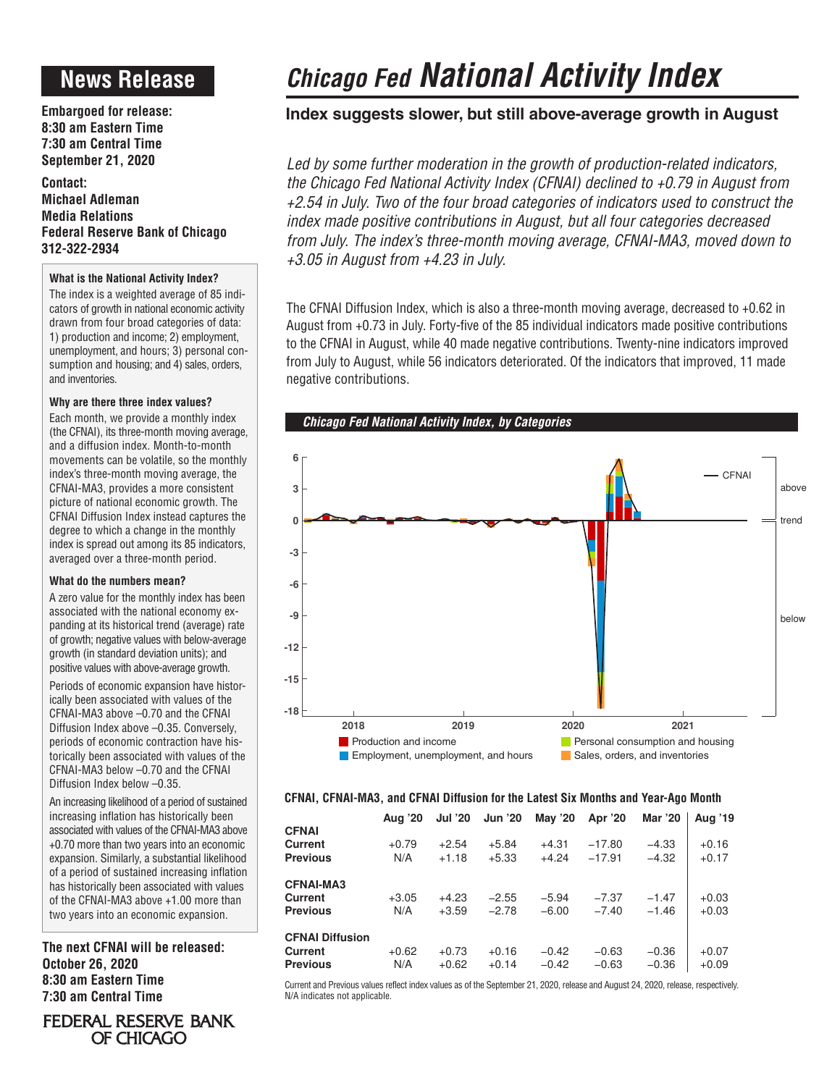# **News Release**

**Embargoed for release: 8:30 am Eastern Time 7:30 am Central Time September 21, 2020**

**Contact: Michael Adleman Media Relations Federal Reserve Bank of Chicago 312-322-2934**

# **What is the National Activity Index?**

The index is a weighted average of 85 indicators of growth in national economic activity drawn from four broad categories of data: 1) production and income; 2) employment, unemployment, and hours; 3) personal consumption and housing; and 4) sales, orders, and inventories.

# **Why are there three index values?**

Each month, we provide a monthly index (the CFNAI), its three-month moving average, and a diffusion index. Month-to-month movements can be volatile, so the monthly index's three-month moving average, the CFNAI-MA3, provides a more consistent picture of national economic growth. The CFNAI Diffusion Index instead captures the degree to which a change in the monthly index is spread out among its 85 indicators, averaged over a three-month period.

## **What do the numbers mean?**

A zero value for the monthly index has been associated with the national economy expanding at its historical trend (average) rate of growth; negative values with below-average growth (in standard deviation units); and positive values with above-average growth.

Periods of economic expansion have historically been associated with values of the CFNAI-MA3 above –0.70 and the CFNAI Diffusion Index above –0.35. Conversely, periods of economic contraction have historically been associated with values of the CFNAI-MA3 below –0.70 and the CFNAI Diffusion Index below –0.35.

An increasing likelihood of a period of sustained increasing inflation has historically been associated with values of the CFNAI-MA3 above +0.70 more than two years into an economic expansion. Similarly, a substantial likelihood of a period of sustained increasing inflation has historically been associated with values of the CFNAI-MA3 above +1.00 more than two years into an economic expansion.

**The next CFNAI will be released: October 26, 2020 8:30 am Eastern Time 7:30 am Central Time**

FEDERAL RESERVE BANK OF CHICAGO

# *Chicago Fed National Activity Index*

# **Index suggests slower, but still above-average growth in August**

*Led by some further moderation in the growth of production-related indicators, the Chicago Fed National Activity Index (CFNAI) declined to +0.79 in August from +2.54 in July. Two of the four broad categories of indicators used to construct the index made positive contributions in August, but all four categories decreased from July. The index's three-month moving average, CFNAI-MA3, moved down to +3.05 in August from +4.23 in July.* 

The CFNAI Diffusion Index, which is also a three-month moving average, decreased to +0.62 in August from +0.73 in July. Forty-five of the 85 individual indicators made positive contributions to the CFNAI in August, while 40 made negative contributions. Twenty-nine indicators improved from July to August, while 56 indicators deteriorated. Of the indicators that improved, 11 made negative contributions.



# **CFNAI, CFNAI-MA3, and CFNAI Diffusion for the Latest Six Months and Year-Ago Month**

|                        | Aug '20 | <b>Jul '20</b> | <b>Jun '20</b> | May '20 | Apr '20  | Mar '20 | Aug '19 |
|------------------------|---------|----------------|----------------|---------|----------|---------|---------|
| <b>CFNAI</b>           |         |                |                |         |          |         |         |
| Current                | $+0.79$ | $+2.54$        | $+5.84$        | $+4.31$ | $-17.80$ | $-4.33$ | $+0.16$ |
| <b>Previous</b>        | N/A     | $+1.18$        | $+5.33$        | $+4.24$ | $-17.91$ | $-4.32$ | $+0.17$ |
| <b>CFNAI-MA3</b>       |         |                |                |         |          |         |         |
| Current                | $+3.05$ | $+4.23$        | $-2.55$        | $-5.94$ | $-7.37$  | $-1.47$ | $+0.03$ |
| <b>Previous</b>        | N/A     | $+3.59$        | $-2.78$        | $-6.00$ | $-7.40$  | $-1.46$ | $+0.03$ |
| <b>CFNAI Diffusion</b> |         |                |                |         |          |         |         |
| Current                | $+0.62$ | $+0.73$        | $+0.16$        | $-0.42$ | $-0.63$  | $-0.36$ | $+0.07$ |
| <b>Previous</b>        | N/A     | $+0.62$        | $+0.14$        | $-0.42$ | $-0.63$  | $-0.36$ | $+0.09$ |
|                        |         |                |                |         |          |         |         |

Current and Previous values reflect index values as of the September 21, 2020, release and August 24, 2020, release, respectively. N/A indicates not applicable.